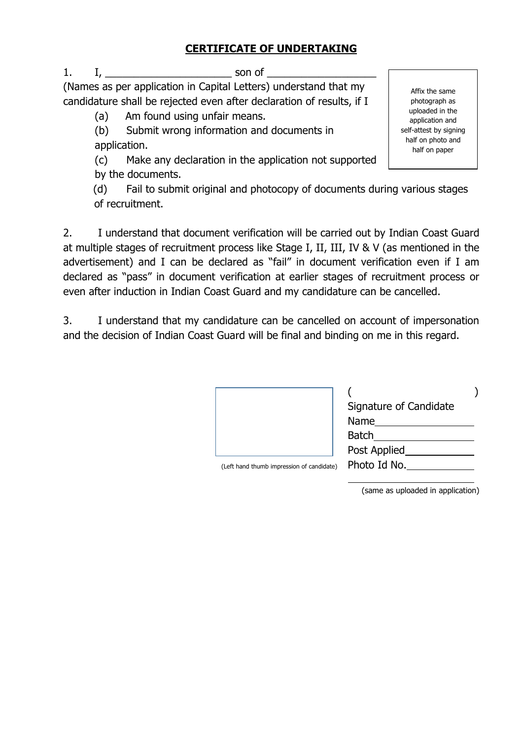## **CERTIFICATE OF UNDERTAKING**

1. I, \_\_\_\_\_\_\_\_\_\_\_\_\_\_\_\_\_\_\_\_\_\_ son of \_\_\_\_\_\_\_\_\_\_\_\_\_\_\_\_\_\_\_

(Names as per application in Capital Letters) understand that my candidature shall be rejected even after declaration of results, if I

(a) Am found using unfair means.

(b) Submit wrong information and documents in application.

(c) Make any declaration in the application not supported by the documents.

(d) Fail to submit original and photocopy of documents during various stages of recruitment.

2. I understand that document verification will be carried out by Indian Coast Guard at multiple stages of recruitment process like Stage I, II, III, IV & V (as mentioned in the advertisement) and I can be declared as "fail" in document verification even if I am declared as "pass" in document verification at earlier stages of recruitment process or even after induction in Indian Coast Guard and my candidature can be cancelled.

3. I understand that my candidature can be cancelled on account of impersonation and the decision of Indian Coast Guard will be final and binding on me in this regard.

|                                           | Signature of Candidate<br>Name<br><b>Batch</b> |  |
|-------------------------------------------|------------------------------------------------|--|
|                                           | Post Applied                                   |  |
| (Left hand thumb impression of candidate) | Photo Id No.                                   |  |
|                                           |                                                |  |

(same as uploaded in application)

Affix the same photograph as uploaded in the application and self-attest by signing half on photo and half on paper